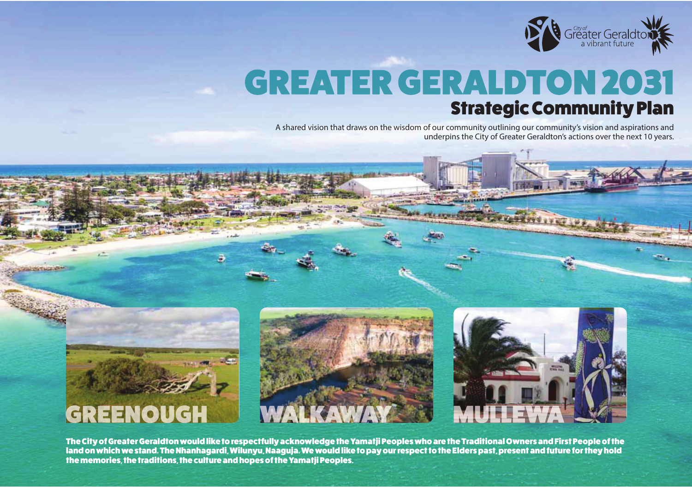

# **GREATER GERALDTON 2031** Strategic Community Plan

A shared vision that draws on the wisdom of our community outlining our community's vision and aspirations and underpins the City of Greater Geraldton's actions over the next 10 years.







The City of Greater Geraldton would like to respectfully acknowledge the Yamatji Peoples who are the Traditional Owners and First People of the land on which we stand. The Nhanhagardi, Wilunyu, Naaguja. We would like to pay our respect to the Elders past, present and future for they hold the memories, the traditions, the culture and hopes of the Yamatji Peoples.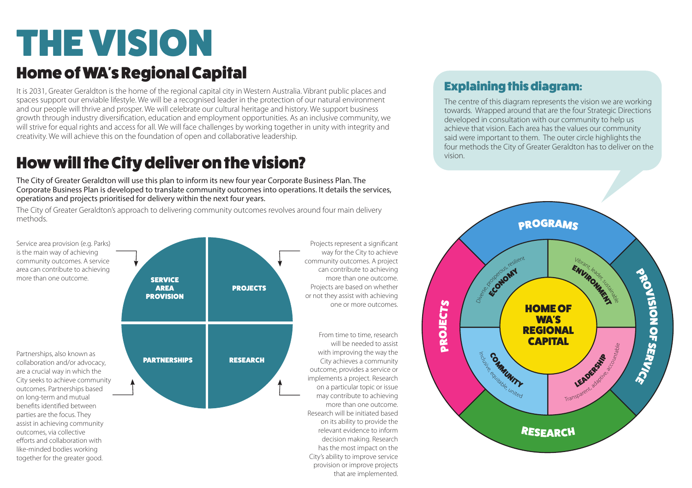# THE VISION

#### Home of WA's Regional Capital

It is 2031, Greater Geraldton is the home of the regional capital city in Western Australia. Vibrant public places and spaces support our enviable lifestyle. We will be a recognised leader in the protection of our natural environment and our people will thrive and prosper. We will celebrate our cultural heritage and history. We support business growth through industry diversification, education and employment opportunities. As an inclusive community, we will strive for equal rights and access for all. We will face challenges by working together in unity with integrity and creativity. We will achieve this on the foundation of open and collaborative leadership.

### How will the City deliver on the vision?

The City of Greater Geraldton will use this plan to inform its new four year Corporate Business Plan. The Corporate Business Plan is developed to translate community outcomes into operations. It details the services, operations and projects prioritised for delivery within the next four years.

The City of Greater Geraldton's approach to delivering community outcomes revolves around four main delivery methods.



#### Explaining this diagram:

The centre of this diagram represents the vision we are working towards. Wrapped around that are the four Strategic Directions developed in consultation with our community to help us achieve that vision. Each area has the values our community said were important to them. The outer circle highlights the four methods the City of Greater Geraldton has to deliver on the vision.

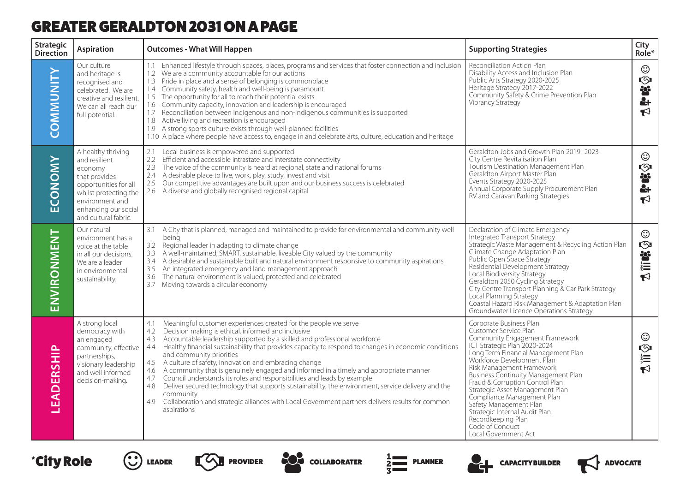#### GREATER GERALDTON 2031 ON A PAGE

| Strategic<br><b>Direction</b> | <b>Aspiration</b>                                                                                                                                                                    | <b>Outcomes - What Will Happen</b>                                                                                                                                                                                                                                                                                                                                                                                                                                                                                                                                                                                                                                                                                                                                                                                                                      | <b>Supporting Strategies</b>                                                                                                                                                                                                                                                                                                                                                                                                                                                                | City<br>Role*                                   |
|-------------------------------|--------------------------------------------------------------------------------------------------------------------------------------------------------------------------------------|---------------------------------------------------------------------------------------------------------------------------------------------------------------------------------------------------------------------------------------------------------------------------------------------------------------------------------------------------------------------------------------------------------------------------------------------------------------------------------------------------------------------------------------------------------------------------------------------------------------------------------------------------------------------------------------------------------------------------------------------------------------------------------------------------------------------------------------------------------|---------------------------------------------------------------------------------------------------------------------------------------------------------------------------------------------------------------------------------------------------------------------------------------------------------------------------------------------------------------------------------------------------------------------------------------------------------------------------------------------|-------------------------------------------------|
| COMMUNITY                     | Our culture<br>and heritage is<br>recognised and<br>celebrated. We are<br>creative and resilient.<br>We can all reach our<br>full potential.                                         | 1.1 Enhanced lifestyle through spaces, places, programs and services that foster connection and inclusion<br>1.2 We are a community accountable for our actions<br>1.3 Pride in place and a sense of belonging is commonplace<br>1.4 Community safety, health and well-being is paramount<br>1.5 The opportunity for all to reach their potential exists<br>1.6 Community capacity, innovation and leadership is encouraged<br>1.7 Reconciliation between Indigenous and non-indigenous communities is supported<br>1.8 Active living and recreation is encouraged<br>1.9 A strong sports culture exists through well-planned facilities<br>1.10 A place where people have access to, engage in and celebrate arts, culture, education and heritage                                                                                                     | Reconciliation Action Plan<br>Disability Access and Inclusion Plan<br>Public Arts Strategy 2020-2025<br>Heritage Strategy 2017-2022<br>Community Safety & Crime Prevention Plan<br>Vibrancy Strategy                                                                                                                                                                                                                                                                                        | ☺<br>$\frac{1}{2}$<br>$\blacktriangledown$      |
| ECONOMY                       | A healthy thriving<br>and resilient<br>economy<br>that provides<br>opportunities for all<br>whilst protecting the<br>environment and<br>enhancing our social<br>and cultural fabric. | 2.1 Local business is empowered and supported<br>2.2 Efficient and accessible intrastate and interstate connectivity<br>2.3 The voice of the community is heard at regional, state and national forums<br>2.4 A desirable place to live, work, play, study, invest and visit<br>2.5 Our competitive advantages are built upon and our business success is celebrated<br>2.6 A diverse and globally recognised regional capital                                                                                                                                                                                                                                                                                                                                                                                                                          | Geraldton Jobs and Growth Plan 2019-2023<br>City Centre Revitalisation Plan<br>Tourism Destination Management Plan<br>Geraldton Airport Master Plan<br>Events Strategy 2020-2025<br>Annual Corporate Supply Procurement Plan<br>RV and Caravan Parking Strategies                                                                                                                                                                                                                           | ☺<br>လ<br>答<br>ē.<br>$\blacktriangleright$      |
| ENVIRONMENT                   | Our natural<br>environment has a<br>voice at the table<br>in all our decisions.<br>We are a leader<br>in environmental<br>sustainability.                                            | 3.1 A City that is planned, managed and maintained to provide for environmental and community well<br>beina<br>Regional leader in adapting to climate change<br>3.2<br>3.3 A well-maintained, SMART, sustainable, liveable City valued by the community<br>A desirable and sustainable built and natural environment responsive to community aspirations<br>3.4<br>3.5 An integrated emergency and land management approach<br>3.6 The natural environment is valued, protected and celebrated<br>3.7 Moving towards a circular economy                                                                                                                                                                                                                                                                                                                 | Declaration of Climate Emergency<br>Integrated Transport Strategy<br>Strategic Waste Management & Recycling Action Plan<br>Climate Change Adaptation Plan<br>Public Open Space Strategy<br>Residential Development Strategy<br>Local Biodiversity Strategy<br>Geraldton 2050 Cycling Strategy<br>City Centre Transport Planning & Car Park Strategy<br>Local Planning Strategy<br>Coastal Hazard Risk Management & Adaptation Plan<br>Groundwater Licence Operations Strategy               | ☺<br>ا⊘<br><b>Externe</b><br>$\mathbf{\bar{r}}$ |
| LEADERSHIP                    | A strong local<br>democracy with<br>an engaged<br>community, effective<br>partnerships,<br>visionary leadership<br>and well informed<br>decision-making.                             | Meaningful customer experiences created for the people we serve<br>4.1<br>Decision making is ethical, informed and inclusive<br>4.2<br>4.3 Accountable leadership supported by a skilled and professional workforce<br>4.4 Healthy financial sustainability that provides capacity to respond to changes in economic conditions<br>and community priorities<br>4.5 A culture of safety, innovation and embracing change<br>4.6 A community that is genuinely engaged and informed in a timely and appropriate manner<br>Council understands its roles and responsibilities and leads by example<br>4.7<br>4.8 Deliver secured technology that supports sustainability, the environment, service delivery and the<br>community<br>Collaboration and strategic alliances with Local Government partners delivers results for common<br>4.9<br>aspirations | Corporate Business Plan<br>Customer Service Plan<br>Community Engagement Framework<br>ICT Strategic Plan 2020-2024<br>Long Term Financial Management Plan<br>Workforce Development Plan<br>Risk Management Framework<br>Business Continuity Management Plan<br>Fraud & Corruption Control Plan<br>Strategic Asset Management Plan<br>Compliance Management Plan<br>Safety Management Plan<br>Strategic Internal Audit Plan<br>Recordkeeping Plan<br>Code of Conduct<br>Local Government Act | ☺<br>A iii ©                                    |

\*City Role -